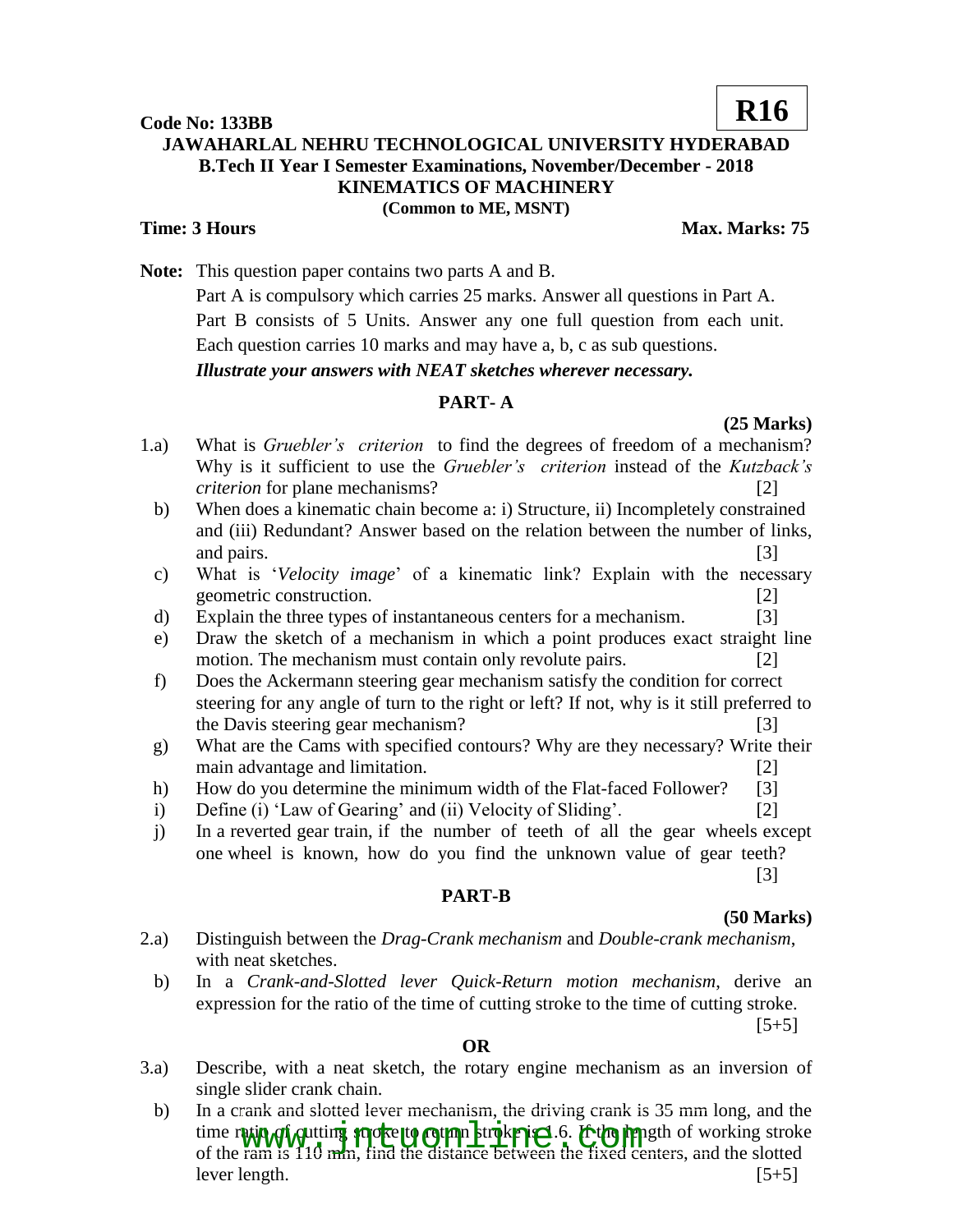#### **Code No: 133BB**

# **JAWAHARLAL NEHRU TECHNOLOGICAL UNIVERSITY HYDERABAD B.Tech II Year I Semester Examinations, November/December - 2018 KINEMATICS OF MACHINERY (Common to ME, MSNT)**

### **Time: 3 Hours Max. Marks: 75**

**R16**

**Note:** This question paper contains two parts A and B.

Part A is compulsory which carries 25 marks. Answer all questions in Part A. Part B consists of 5 Units. Answer any one full question from each unit. Each question carries 10 marks and may have a, b, c as sub questions.

*Illustrate your answers with NEAT sketches wherever necessary.*

# **PART- A**

**(25 Marks)**

- 1.a) What is *Gruebler's criterion* to find the degrees of freedom of a mechanism? Why is it sufficient to use the *Gruebler's criterion* instead of the *Kutzback's criterion* for plane mechanisms? [2]
	- b) When does a kinematic chain become a: i) Structure, ii) Incompletely constrained and (iii) Redundant? Answer based on the relation between the number of links, and pairs. [3]
	- c) What is '*Velocity image*' of a kinematic link? Explain with the necessary geometric construction. [2]
	- d) Explain the three types of instantaneous centers for a mechanism. [3]
	- e) Draw the sketch of a mechanism in which a point produces exact straight line motion. The mechanism must contain only revolute pairs. [2]
	- f) Does the Ackermann steering gear mechanism satisfy the condition for correct steering for any angle of turn to the right or left? If not, why is it still preferred to the Davis steering gear mechanism? [3]
	- g) What are the Cams with specified contours? Why are they necessary? Write their main advantage and limitation. [2]
	- h) How do you determine the minimum width of the Flat-faced Follower? [3]
	- i) Define (i) 'Law of Gearing' and (ii) Velocity of Sliding'. [2]
	- j) In a reverted gear train, if the number of teeth of all the gear wheels except one wheel is known, how do you find the unknown value of gear teeth?

### **PART-B**

## **(50 Marks)**

[3]

- 2.a) Distinguish between the *Drag-Crank mechanism* and *Double-crank mechanism*, with neat sketches.
	- b) In a *Crank-and-Slotted lever Quick-Return motion mechanism*, derive an expression for the ratio of the time of cutting stroke to the time of cutting stroke.

 $[5+5]$ 

### **OR**

- 3.a) Describe, with a neat sketch, the rotary engine mechanism as an inversion of single slider crank chain.
- b) In a crank and slotted lever mechanism, the driving crank is 35 mm long, and the time ratio of cutting stroke-to return stroke-is 1.6. If the length of working stroke time ratio of gutting stroke to return ktroke is 1.6. If the length of working strok<br>of the ram is 110 mm, find the distance between the fixed centers, and the slotted lever length.  $[5+5]$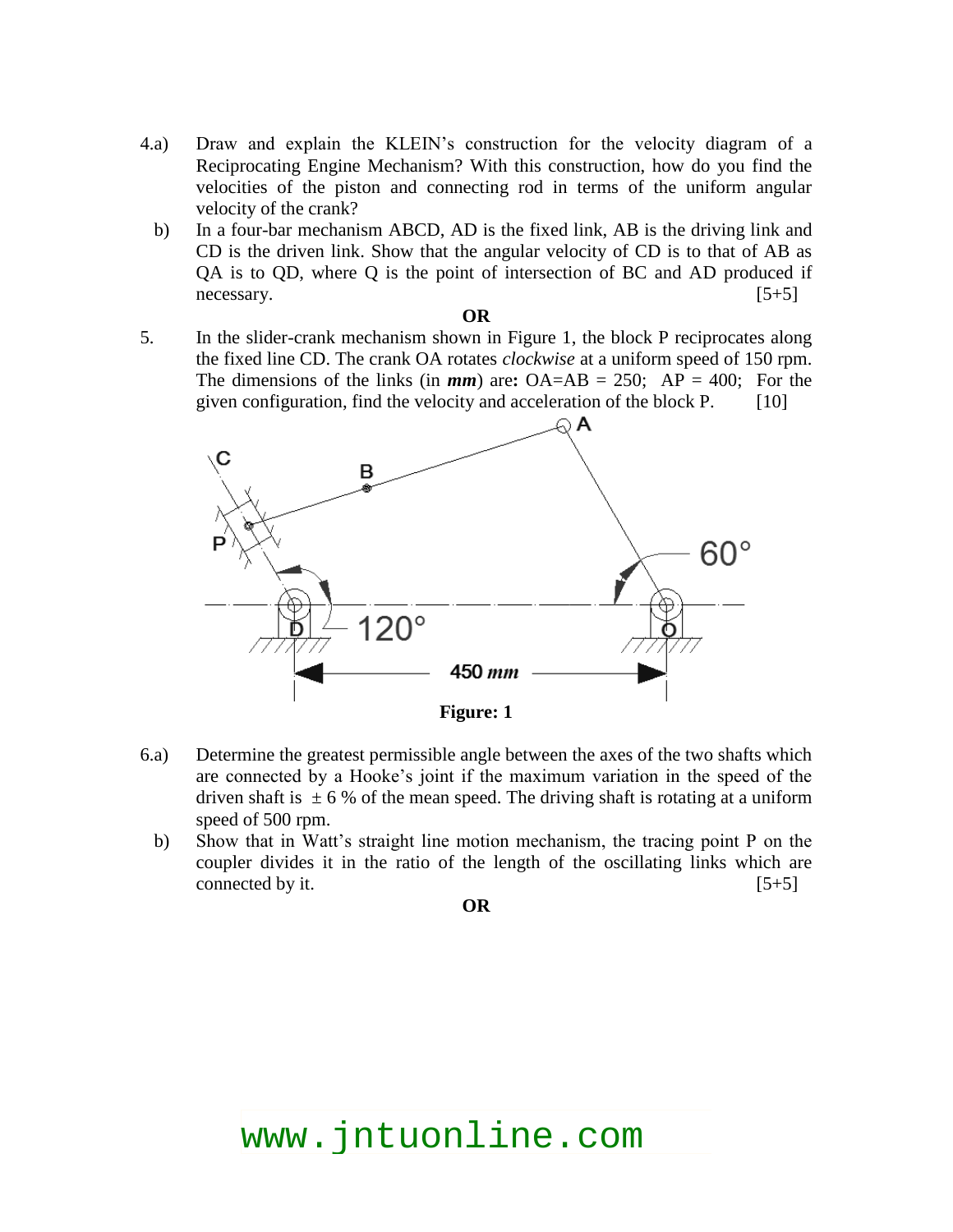- 4.a) Draw and explain the KLEIN's construction for the velocity diagram of a Reciprocating Engine Mechanism? With this construction, how do you find the velocities of the piston and connecting rod in terms of the uniform angular velocity of the crank?
- b) In a four-bar mechanism ABCD, AD is the fixed link, AB is the driving link and CD is the driven link. Show that the angular velocity of CD is to that of AB as QA is to QD, where Q is the point of intersection of BC and AD produced if necessary.  $[5+5]$

#### **OR**

5. In the slider-crank mechanism shown in Figure 1, the block P reciprocates along the fixed line CD. The crank OA rotates *clockwise* at a uniform speed of 150 rpm. The dimensions of the links (in  $mm$ ) are:  $OA=AB = 250$ ;  $AP = 400$ ; For the given configuration, find the velocity and acceleration of the block  $P.$  [10]



- 6.a) Determine the greatest permissible angle between the axes of the two shafts which are connected by a Hooke's joint if the maximum variation in the speed of the driven shaft is  $\pm 6$  % of the mean speed. The driving shaft is rotating at a uniform speed of 500 rpm.
	- b) Show that in Watt's straight line motion mechanism, the tracing point P on the coupler divides it in the ratio of the length of the oscillating links which are connected by it.  $[5+5]$

**OR**

www.jntuonline.com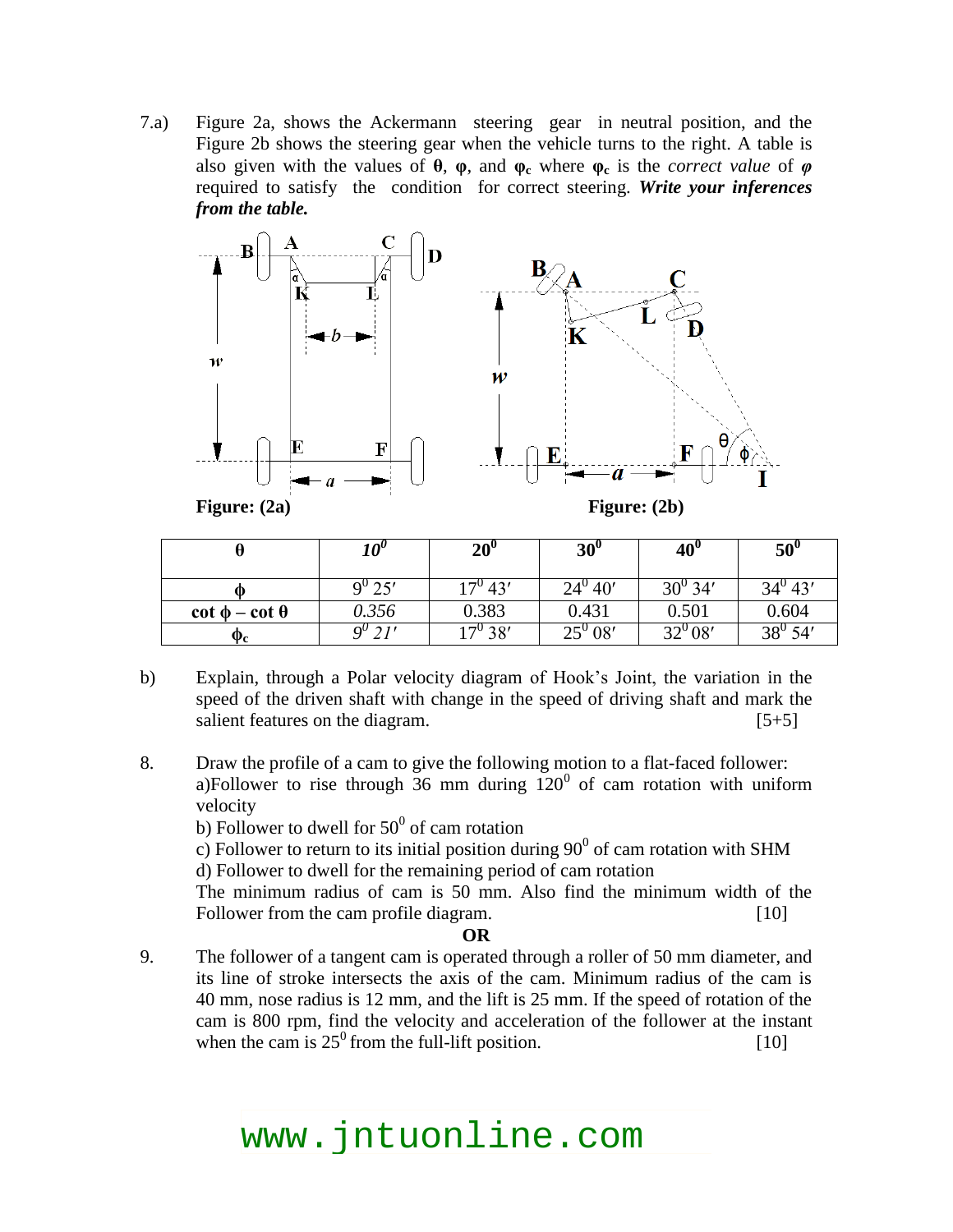7.a) Figure 2a, shows the Ackermann steering gear in neutral position, and the Figure 2b shows the steering gear when the vehicle turns to the right. A table is also given with the values of **θ**, **φ**, and **φ<sup>c</sup>** where **φ<sup>c</sup>** is the *correct value* of *φ*  required to satisfy the condition for correct steering. *Write your inferences from the table.*



| Figure: $(2a)$ |  |
|----------------|--|
|----------------|--|

**Figure: (2a) Figure: (2b)**

|                              | 10 <sup>v</sup> | $20^{\circ}$     | $30^{\circ}$     | $40^{\circ}$ | $50^{\circ}$     |
|------------------------------|-----------------|------------------|------------------|--------------|------------------|
|                              | $9^0 25'$       | $17^{\circ}$ 43' | $24^{\circ} 40'$ | $30^{0}$ 34' | $34^{\circ} 43'$ |
| $\cot \phi - \cot \theta$    | 0.356           | 0.383            | 0.431            | 0.501        | 0.604            |
| $\mathbf{\Phi}_{\mathbf{c}}$ | $\alpha^{\nu}$  | $17^{\circ}$ 38' | $25^{0}08'$      | $32^{0}08'$  | $38^{0} 54'$     |

- b) Explain, through a Polar velocity diagram of Hook's Joint, the variation in the speed of the driven shaft with change in the speed of driving shaft and mark the salient features on the diagram. [5+5]
- 8. Draw the profile of a cam to give the following motion to a flat-faced follower: a)Follower to rise through  $36$  mm during  $120^{\circ}$  of cam rotation with uniform velocity
	- b) Follower to dwell for  $50^0$  of cam rotation

c) Follower to return to its initial position during  $90^0$  of cam rotation with SHM d) Follower to dwell for the remaining period of cam rotation

The minimum radius of cam is 50 mm. Also find the minimum width of the Follower from the cam profile diagram. [10]

**OR**

9. The follower of a tangent cam is operated through a roller of 50 mm diameter, and its line of stroke intersects the axis of the cam. Minimum radius of the cam is 40 mm, nose radius is 12 mm, and the lift is 25 mm. If the speed of rotation of the cam is 800 rpm, find the velocity and acceleration of the follower at the instant when the cam is  $25^\circ$  from the full-lift position. [10]

# www.jntuonline.com